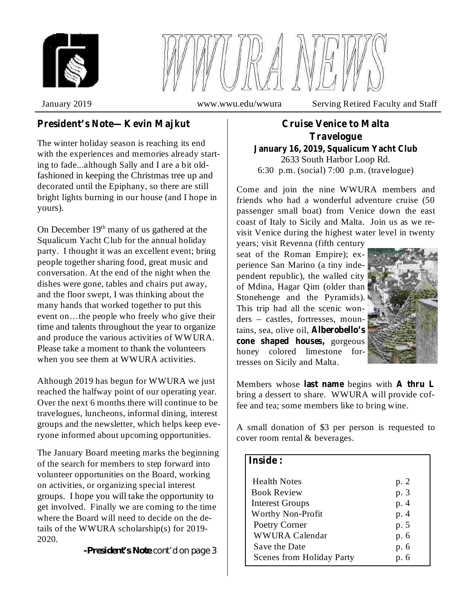



January 2019 www.wwu.edu/wwura Serving Retired Faculty and Staff

## **President's Note—Kevin Majkut Cruise Venice to Malta**

The winter holiday season is reaching its end with the experiences and memories already starting to fade...although Sally and I are a bit oldfashioned in keeping the Christmas tree up and decorated until the Epiphany, so there are still bright lights burning in our house (and I hope in yours).

On December 19<sup>th</sup> many of us gathered at the Squalicum Yacht Club for the annual holiday party. I thought it was an excellent event; bring people together sharing food, great music and conversation. At the end of the night when the dishes were gone, tables and chairs put away, and the floor swept, I was thinking about the many hands that worked together to put this event on…the people who freely who give their time and talents throughout the year to organize and produce the various activities of WWURA. Please take a moment to thank the volunteers when you see them at WWURA activities.

Although 2019 has begun for WWURA we just reached the halfway point of our operating year. Over the next 6 months there will continue to be travelogues, luncheons, informal dining, interest groups and the newsletter, which helps keep everyone informed about upcoming opportunities.

The January Board meeting marks the beginning of the search for members to step forward into volunteer opportunities on the Board, working on activities, or organizing special interest groups. I hope you will take the opportunity to get involved. Finally we are coming to the time where the Board will need to decide on the details of the WWURA scholarship(s) for 2019- 2020.

*-President's Note cont'd on page 3*

## 2633 South Harbor Loop Rd. 6:30 p.m. (social) 7:00 p.m. (travelogue) **Travelogue January 16, 2019, Squalicum Yacht Club**

Come and join the nine WWURA members and friends who had a wonderful adventure cruise (50 passenger small boat) from Venice down the east coast of Italy to Sicily and Malta. Join us as we revisit Venice during the highest water level in twenty

years; visit Revenna (fifth century seat of the Roman Empire); experience San Marino (a tiny independent republic), the walled city of Mdina, Hagar Qim (older than Stonehenge and the Pyramids). This trip had all the scenic wonders – castles, fortresses, mountains, sea, olive oil, **Alberobello's** gorgeous **cone shaped houses,** honey colored limestone fortresses on Sicily and Malta.



Members whose last name begins with A thru L bring a dessert to share. WWURA will provide coffee and tea; some members like to bring wine.

A small donation of \$3 per person is requested to cover room rental & beverages.

| Inside :                         |      |
|----------------------------------|------|
| <b>Health Notes</b>              | p. 2 |
| <b>Book Review</b>               | p. 3 |
| <b>Interest Groups</b>           | p. 4 |
| Worthy Non-Profit                | p. 4 |
| Poetry Corner                    | p. 5 |
| WWURA Calendar                   | p. 6 |
| Save the Date                    | p. 6 |
| <b>Scenes from Holiday Party</b> | p. 6 |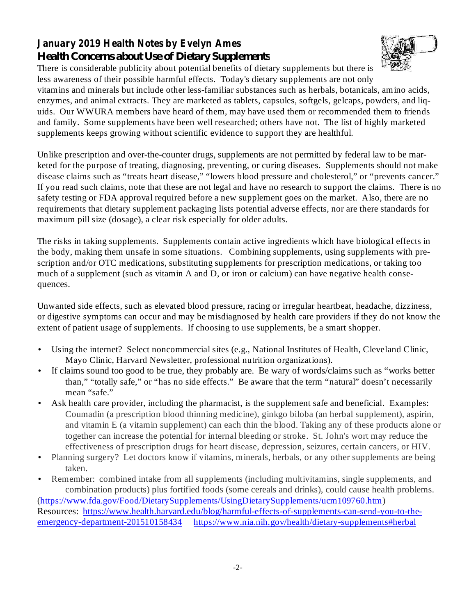# much of a supplement (such as vitamin A and D, or iron or calcium) can have negative health conse-

Unwanted side effects, such as elevated blood pressure, racing or irregular heartbeat, headache, dizziness, or digestive symptoms can occur and may be misdiagnosed by health care providers if they do not know the extent of patient usage of supplements. If choosing to use supplements, be a smart shopper.

- Using the internet? Select noncommercial sites (e.g., National Institutes of Health, Cleveland Clinic, Mayo Clinic, Harvard Newsletter, professional nutrition organizations). •
- If claims sound too good to be true, they probably are. Be wary of words/claims such as "works better than," "totally safe," or "has no side effects." Be aware that the term "natural" doesn't necessarily mean "safe." •
- Ask health care provider, including the pharmacist, is the supplement safe and beneficial. Examples: Coumadin (a prescription blood thinning medicine), ginkgo biloba (an herbal supplement), aspirin, and vitamin E (a vitamin supplement) can each thin the blood. Taking any of these products alone or together can increase the potential for internal bleeding or stroke. St. John's wort may reduce the effectiveness of prescription drugs for heart disease, depression, seizures, certain cancers, or HIV. •
- Planning surgery? Let doctors know if vitamins, minerals, herbals, or any other supplements are being taken. •
- Remember: combined intake from all supplements (including multivitamins, single supplements, and combination products) plus fortified foods (some cereals and drinks), could cause health problems. •

(https://www.fda.gov/Food/DietarySupplements/UsingDietarySupplements/ucm109760.htm) Resources: https://www.health.harvard.edu/blog/harmful-effects-of-supplements-can-send-you-to-theemergency-department-201510158434 https://www.nia.nih.gov/health/dietary-supplements#herbal

## **January 2019 Health Notes by Evelyn Ames** *Health Concerns about Use of Dietary Supplements*

maximum pill size (dosage), a clear risk especially for older adults.

quences.

There is considerable publicity about potential benefits of dietary supplements but there is less awareness of their possible harmful effects. Today's dietary supplements are not only

supplements keeps growing without scientific evidence to support they are healthful.

vitamins and minerals but include other less-familiar substances such as herbals, botanicals, amino acids, enzymes, and animal extracts. They are marketed as tablets, capsules, softgels, gelcaps, powders, and liquids. Our WWURA members have heard of them, may have used them or recommended them to friends and family. Some supplements have been well researched; others have not. The list of highly marketed

Unlike prescription and over-the-counter drugs, supplements are not permitted by federal law to be marketed for the purpose of treating, diagnosing, preventing, or curing diseases. Supplements should not make disease claims such as "treats heart disease," "lowers blood pressure and cholesterol," or "prevents cancer." If you read such claims, note that these are not legal and have no research to support the claims. There is no safety testing or FDA approval required before a new supplement goes on the market. Also, there are no requirements that dietary supplement packaging lists potential adverse effects, nor are there standards for

The risks in taking supplements. Supplements contain active ingredients which have biological effects in the body, making them unsafe in some situations. Combining supplements, using supplements with prescription and/or OTC medications, substituting supplements for prescription medications, or taking too

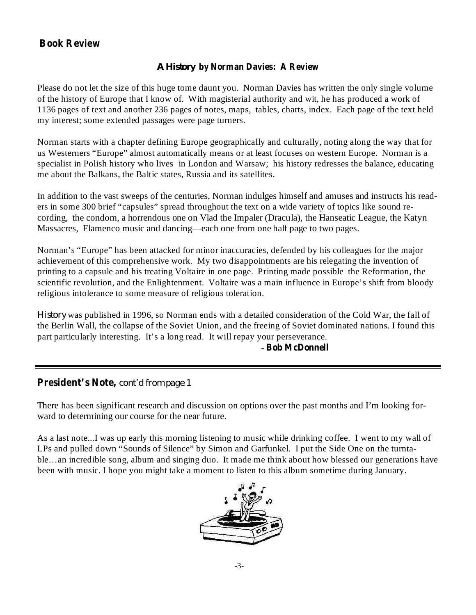## **Book Review**

#### **by Norman Davies: A Review** *A History*

Please do not let the size of this huge tome daunt you. Norman Davies has written the only single volume of the history of Europe that I know of. With magisterial authority and wit, he has produced a work of 1136 pages of text and another 236 pages of notes, maps, tables, charts, index. Each page of the text held my interest; some extended passages were page turners.

Norman starts with a chapter defining Europe geographically and culturally, noting along the way that for us Westerners "Europe" almost automatically means or at least focuses on western Europe. Norman is a specialist in Polish history who lives in London and Warsaw; his history redresses the balance, educating me about the Balkans, the Baltic states, Russia and its satellites.

In addition to the vast sweeps of the centuries, Norman indulges himself and amuses and instructs his readers in some 300 brief "capsules" spread throughout the text on a wide variety of topics like sound recording, the condom, a horrendous one on Vlad the Impaler (Dracula), the Hanseatic League, the Katyn Massacres, Flamenco music and dancing—each one from one half page to two pages.

Norman's "Europe" has been attacked for minor inaccuracies, defended by his colleagues for the major achievement of this comprehensive work. My two disappointments are his relegating the invention of printing to a capsule and his treating Voltaire in one page. Printing made possible the Reformation, the scientific revolution, and the Enlightenment. Voltaire was a main influence in Europe's shift from bloody religious intolerance to some measure of religious toleration.

History was published in 1996, so Norman ends with a detailed consideration of the Cold War, the fall of the Berlin Wall, the collapse of the Soviet Union, and the freeing of Soviet dominated nations. I found this part particularly interesting. It's a long read. It will repay your perseverance.

#### **Bob McDonnell** -

## **President's Note,** *cont'd from page 1*

There has been significant research and discussion on options over the past months and I'm looking forward to determining our course for the near future.

As a last note...I was up early this morning listening to music while drinking coffee. I went to my wall of LPs and pulled down "Sounds of Silence" by Simon and Garfunkel. I put the Side One on the turntable…an incredible song, album and singing duo. It made me think about how blessed our generations have been with music. I hope you might take a moment to listen to this album sometime during January.

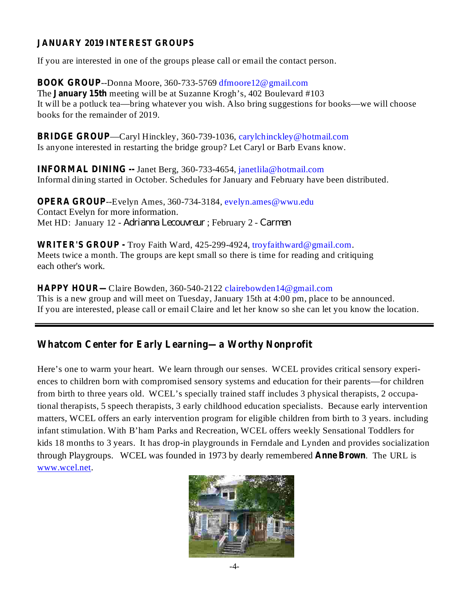### **JANUARY 2019 INTEREST GROUPS**

If you are interested in one of the groups please call or email the contact person.

**BOOK GROUP** --Donna Moore, 360-733-5769 dfmoore12@gmail.com The **January 15th** meeting will be at Suzanne Krogh's, 402 Boulevard #103 It will be a potluck tea—bring whatever you wish. Also bring suggestions for books—we will choose books for the remainder of 2019.

**BRIDGE GROUP** —Caryl Hinckley, 360-739-1036, carylchinckley@hotmail.com Is anyone interested in restarting the bridge group? Let Caryl or Barb Evans know.

**INFORMAL DINING --** Janet Berg, 360-733-4654, janetlila@hotmail.com Informal dining started in October. Schedules for January and February have been distributed.

**OPERA GROUP** --Evelyn Ames, 360-734-3184, evelyn.ames@wwu.edu Contact Evelyn for more information. Met HD: January 12 - Adrianna Lecouvreur; February 2 - Carmen

**WRITER'S GROUP -** Troy Faith Ward, 425-299-4924, troyfaithward@gmail.com. Meets twice a month. The groups are kept small so there is time for reading and critiquing each other's work.

**HAPPY HOUR—** Claire Bowden, 360-540-2122 clairebowden14@gmail.com This is a new group and will meet on Tuesday, January 15th at 4:00 pm, place to be announced. If you are interested, please call or email Claire and let her know so she can let you know the location.

## **Whatcom Center for Early Learning—a Worthy Nonprofit**

through Playgroups. WCEL was founded in 1973 by dearly remembered **Anne Brown**. The URL is Here's one to warm your heart. We learn through our senses. WCEL provides critical sensory experiences to children born with compromised sensory systems and education for their parents—for children from birth to three years old. WCEL's specially trained staff includes 3 physical therapists, 2 occupational therapists, 5 speech therapists, 3 early childhood education specialists. Because early intervention matters, WCEL offers an early intervention program for eligible children from birth to 3 years. including infant stimulation. With B'ham Parks and Recreation, WCEL offers weekly Sensational Toddlers for kids 18 months to 3 years. It has drop-in playgrounds in Ferndale and Lynden and provides socialization www.wcel.net.

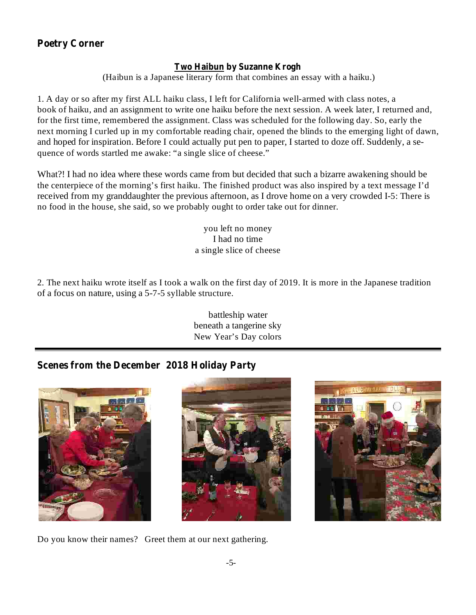## **Poetry Corner**

### **Two Haibun by Suzanne Krogh**

(Haibun is a Japanese literary form that combines an essay with a haiku.)

1. A day or so after my first ALL haiku class, I left for California well-armed with class notes, a book of haiku, and an assignment to write one haiku before the next session. A week later, I returned and, for the first time, remembered the assignment. Class was scheduled for the following day. So, early the next morning I curled up in my comfortable reading chair, opened the blinds to the emerging light of dawn, and hoped for inspiration. Before I could actually put pen to paper, I started to doze off. Suddenly, a sequence of words startled me awake: "a single slice of cheese."

What?! I had no idea where these words came from but decided that such a bizarre awakening should be the centerpiece of the morning's first haiku. The finished product was also inspired by a text message I'd received from my granddaughter the previous afternoon, as I drove home on a very crowded I-5: There is no food in the house, she said, so we probably ought to order take out for dinner.

> you left no money I had no time a single slice of cheese

2. The next haiku wrote itself as I took a walk on the first day of 2019. It is more in the Japanese tradition of a focus on nature, using a 5-7-5 syllable structure.

> battleship water beneath a tangerine sky New Year's Day colors

## **Scenes from the December 2018 Holiday Party**







Do you know their names? Greet them at our next gathering.